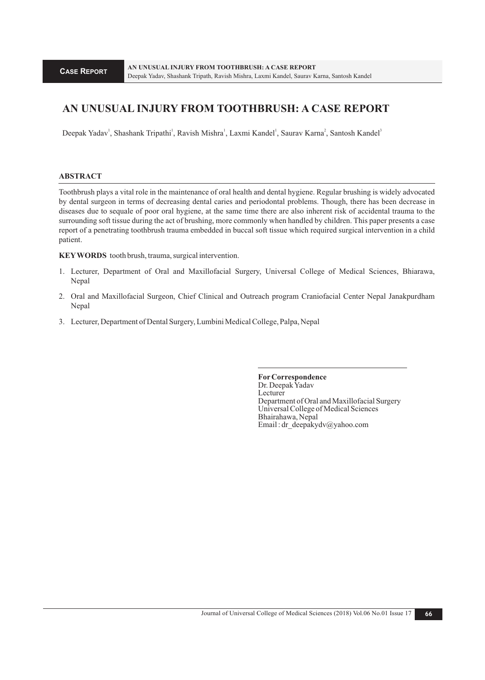# **AN UNUSUAL INJURY FROM TOOTHBRUSH: A CASE REPORT**

Deepak Yadav<sup>1</sup>, Shashank Tripathi<sup>1</sup>, Ravish Mishra<sup>1</sup>, Laxmi Kandel<sup>1</sup>, Saurav Karna<sup>2</sup>, Santosh Kandel<sup>3</sup>

# **ABSTRACT**

Toothbrush plays a vital role in the maintenance of oral health and dental hygiene. Regular brushing is widely advocated by dental surgeon in terms of decreasing dental caries and periodontal problems. Though, there has been decrease in diseases due to sequale of poor oral hygiene, at the same time there are also inherent risk of accidental trauma to the surrounding soft tissue during the act of brushing, more commonly when handled by children. This paper presents a case report of a penetrating toothbrush trauma embedded in buccal soft tissue which required surgical intervention in a child patient.

**KEYWORDS** tooth brush, trauma, surgical intervention.

- 1. Lecturer, Department of Oral and Maxillofacial Surgery, Universal College of Medical Sciences, Bhiarawa, Nepal
- 2. Oral and Maxillofacial Surgeon, Chief Clinical and Outreach program Craniofacial Center Nepal Janakpurdham Nepal
- 3. Lecturer, Department of Dental Surgery, Lumbini Medical College, Palpa, Nepal

**ForCorrespondence**  Dr. Deepak Yadav **Lecturer** Department of Oral and Maxillofacial Surgery Universal College of Medical Sciences Bhairahawa, Nepal Email : dr\_deepakydv@yahoo.com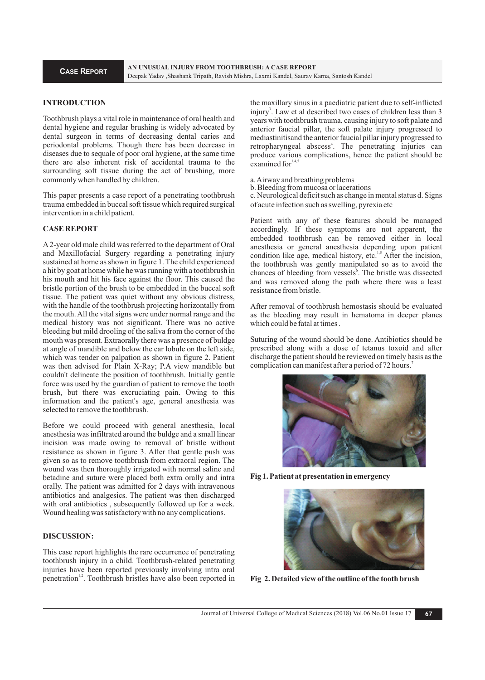# **INTRODUCTION**

Toothbrush plays a vital role in maintenance of oral health and dental hygiene and regular brushing is widely advocated by dental surgeon in terms of decreasing dental caries and periodontal problems. Though there has been decrease in diseases due to sequale of poor oral hygiene, at the same time there are also inherent risk of accidental trauma to the surrounding soft tissue during the act of brushing, more commonly when handled by children.

This paper presents a case report of a penetrating toothbrush trauma embedded in buccal soft tissue which required surgical intervention in a child patient.

#### **CASE REPORT**

A2-year old male child was referred to the department of Oral and Maxillofacial Surgery regarding a penetrating injury sustained at home as shown in figure 1. The child experienced a hit by goat at home while he was running with a toothbrush in his mouth and hit his face against the floor. This caused the bristle portion of the brush to be embedded in the buccal soft tissue. The patient was quiet without any obvious distress, with the handle of the toothbrush projecting horizontally from the mouth. All the vital signs were under normal range and the medical history was not significant. There was no active bleeding but mild drooling of the saliva from the corner of the mouth was present. Extraorally there was a presence of buldge at angle of mandible and below the ear lobule on the left side, which was tender on palpation as shown in figure 2. Patient was then advised for Plain X-Ray; P.A view mandible but couldn't delineate the position of toothbrush. Initially gentle force was used by the guardian of patient to remove the tooth brush, but there was excruciating pain. Owing to this information and the patient's age, general anesthesia was selected to remove the toothbrush.

Before we could proceed with general anesthesia, local anesthesia was infiltrated around the buldge and a small linear incision was made owing to removal of bristle without resistance as shown in figure 3. After that gentle push was given so as to remove toothbrush from extraoral region. The wound was then thoroughly irrigated with normal saline and betadine and suture were placed both extra orally and intra orally. The patient was admitted for 2 days with intravenous antibiotics and analgesics. The patient was then discharged with oral antibiotics , subsequently followed up for a week. Wound healing was satisfactory with no any complications.

# **DISCUSSION:**

This case report highlights the rare occurrence of penetrating toothbrush injury in a child. Toothbrush-related penetrating injuries have been reported previously involving intra oral penetration<sup>1,2</sup>. Toothbrush bristles have also been reported in

the maxillary sinus in a paediatric patient due to self-inflicted injury<sup>3</sup>. Law et al described two cases of children less than 3 years with toothbrush trauma, causing injury to soft palate and anterior faucial pillar, the soft palate injury progressed to mediastinitisand the anterior faucial pillar injury progressed to retropharyngeal abscess<sup>4</sup>. The penetrating injuries can produce various complications, hence the patient should be examined for $1,4$ 

a. Airway and breathing problems

b. Bleeding from mucosa or lacerations

c. Neurological deficit such as change in mental status d. Signs of acute infection such as swelling, pyrexia etc

Patient with any of these features should be managed accordingly. If these symptoms are not apparent, the embedded toothbrush can be removed either in local anesthesia or general anesthesia depending upon patient condition like age, medical history, etc. $1.5$  After the incision, the toothbrush was gently manipulated so as to avoid the chances of bleeding from vessels<sup>6</sup>. The bristle was dissected and was removed along the path where there was a least resistance from bristle.

After removal of toothbrush hemostasis should be evaluated as the bleeding may result in hematoma in deeper planes which could be fatal at times .

Suturing of the wound should be done. Antibiotics should be prescribed along with a dose of tetanus toxoid and after discharge the patient should be reviewed on timely basis as the complication can manifest after a period of 72 hours.<sup>7</sup>



**Fig 1. Patient at presentation in emergency**



**Fig 2. Detailed view of the outline of the tooth brush**